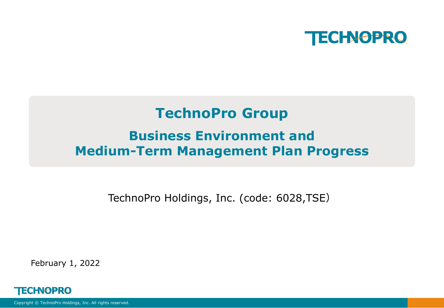

# **TechnoPro Group Business Environment and Medium-Term Management Plan Progress**

TechnoPro Holdings, Inc. (code: 6028,TSE)

February 1, 2022

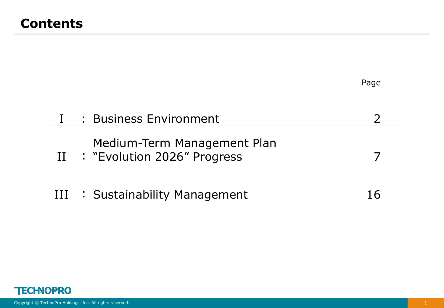|                                                            | Page          |
|------------------------------------------------------------|---------------|
| : Business Environment                                     | $\mathcal{L}$ |
| Medium-Term Management Plan<br>: "Evolution 2026" Progress |               |
| : Sustainability Management                                | 16            |
|                                                            |               |

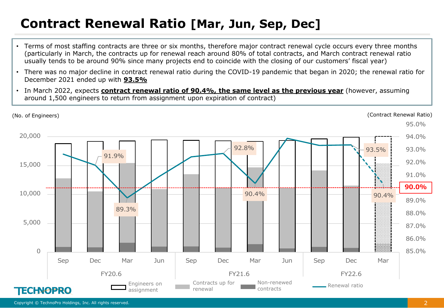## **Contract Renewal Ratio [Mar, Jun, Sep, Dec]**

- Terms of most staffing contracts are three or six months, therefore major contract renewal cycle occurs every three months (particularly in March, the contracts up for renewal reach around 80% of total contracts, and March contract renewal ratio usually tends to be around 90% since many projects end to coincide with the closing of our customers' fiscal year)
- There was no major decline in contract renewal ratio during the COVID-19 pandemic that began in 2020; the renewal ratio for December 2021 ended up with **93.5%**
- In March 2022, expects **contract renewal ratio of 90.4%, the same level as the previous year** (however, assuming around 1,500 engineers to return from assignment upon expiration of contract)

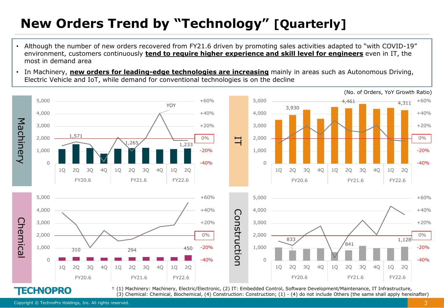# **New Orders Trend by "Technology" [Quarterly]**

- Although the number of new orders recovered from FY21.6 driven by promoting sales activities adapted to "with COVID-19" environment, customers continuously **tend to require higher experience and skill level for engineers** even in IT, the most in demand area
- In Machinery, **new orders for leading-edge technologies are increasing** mainly in areas such as Autonomous Driving, Electric Vehicle and IoT, while demand for conventional technologies is on the decline



† (1) Machinery: Machinery, Electric/Electronic, (2) IT: Embedded Control, Software Development/Maintenance, IT Infrastructure, (3) Chemical: Chemical, Biochemical, (4) Construction: Construction; (1) - (4) do not include Others (the same shall apply hereinafter)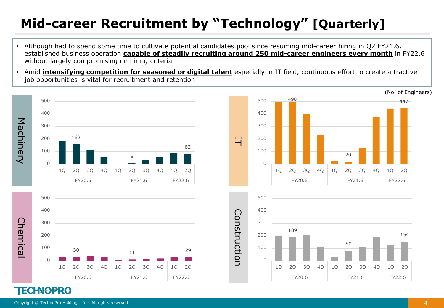# **Mid-career Recruitment by "Technology" [Quarterly]**

- Although had to spend some time to cultivate potential candidates pool since resuming mid-career hiring in Q2 FY21.6, established business operation **capable of steadily recruiting around 250 mid-career engineers every month** in FY22.6 without largely compromising on hiring criteria
- Amid **intensifying competition for seasoned or digital talent** especially in IT field, continuous effort to create attractive job opportunities is vital for recruitment and retention

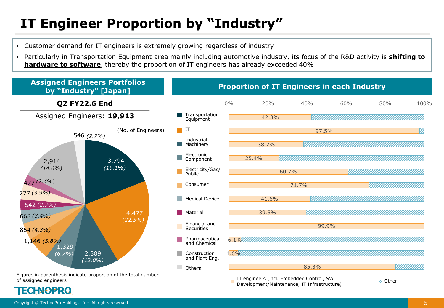# **IT Engineer Proportion by "Industry"**

- Customer demand for IT engineers is extremely growing regardless of industry
- Particularly in Transportation Equipment area mainly including automotive industry, its focus of the R&D activity is **shifting to hardware to software**, thereby the proportion of IT engineers has already exceeded 40%



of assigned engineers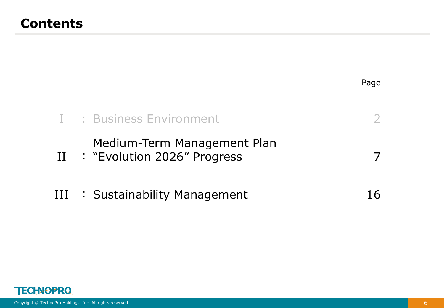|                                                               | Page |
|---------------------------------------------------------------|------|
| : Business Environment                                        |      |
| Medium-Term Management Plan<br>II : "Evolution 2026" Progress |      |
| III : Sustainability Management                               | 16   |
|                                                               |      |

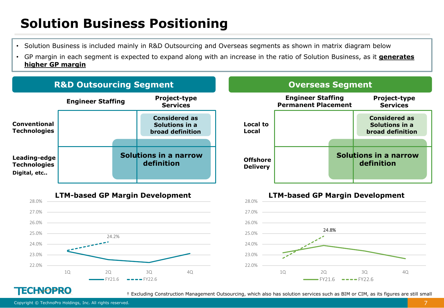# **Solution Business Positioning**

- Solution Business is included mainly in R&D Outsourcing and Overseas segments as shown in matrix diagram below
- GP margin in each segment is expected to expand along with an increase in the ratio of Solution Business, as it **generates higher GP margin**









### **TECHNOPRO**

† Excluding Construction Management Outsourcing, which also has solution services such as BIM or CIM, as its figures are still small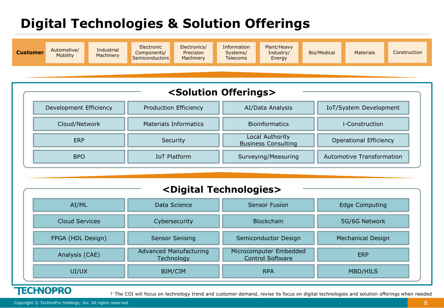# **Digital Technologies & Solution Offerings**



| <solution offerings=""></solution> |                              |                                               |                                  |  |  |  |  |  |  |  |
|------------------------------------|------------------------------|-----------------------------------------------|----------------------------------|--|--|--|--|--|--|--|
| Development Efficiency             | Production Efficiency        | AI/Data Analysis                              | IoT/System Development           |  |  |  |  |  |  |  |
| Cloud/Network                      | <b>Materials Informatics</b> | <b>Bioinformatics</b>                         | <i>i</i> -Construction           |  |  |  |  |  |  |  |
| ERP                                | Security                     | Local Authority<br><b>Business Consulting</b> | <b>Operational Efficiency</b>    |  |  |  |  |  |  |  |
| BPO                                | <b>IoT Platform</b>          | Surveying/Measuring                           | <b>Automotive Transformation</b> |  |  |  |  |  |  |  |

| <digital technologies=""></digital> |                                             |                                                   |                   |  |  |  |  |  |  |  |
|-------------------------------------|---------------------------------------------|---------------------------------------------------|-------------------|--|--|--|--|--|--|--|
| AI/ML                               | Data Science                                | <b>Sensor Fusion</b>                              | Edge Computing    |  |  |  |  |  |  |  |
| <b>Cloud Services</b>               | Cybersecurity                               | <b>Blockchain</b>                                 | 5G/6G Network     |  |  |  |  |  |  |  |
| FPGA (HDL Design)                   | <b>Sensor Sensing</b>                       | Semiconductor Design                              | Mechanical Design |  |  |  |  |  |  |  |
| Analysis (CAE)                      | <b>Advanced Manufacturing</b><br>Technology | Microcomputer Embedded<br><b>Control Software</b> | <b>ERP</b>        |  |  |  |  |  |  |  |
| UI/UX                               | BIM/CIM                                     | <b>RPA</b>                                        | <b>MBD/HILS</b>   |  |  |  |  |  |  |  |

### **TECHNOPRO**

† The COI will focus on technology trend and customer demand, revise its focus on digital technologies and solution offerings when needed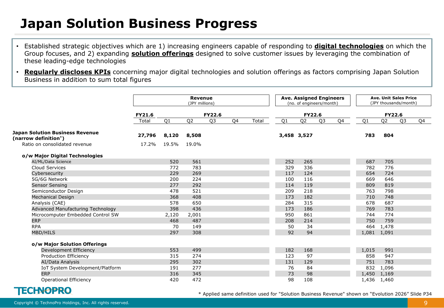## **Japan Solution Business Progress**

- Established strategic objectives which are 1) increasing engineers capable of responding to **digital technologies** on which the Group focuses, and 2) expanding **solution offerings** designed to solve customer issues by leveraging the combination of these leading-edge technologies
- **Regularly discloses KPIs** concerning major digital technologies and solution offerings as factors comprising Japan Solution Business in addition to sum total figures

|                                                                | <b>Revenue</b><br>(JPY millions) |                |                |                |    | <b>Ave. Assigned Engineers</b><br>(no. of engineers/month) |     |                |                | <b>Ave. Unit Sales Price</b><br>(JPY thousands/month) |                |                |    |    |
|----------------------------------------------------------------|----------------------------------|----------------|----------------|----------------|----|------------------------------------------------------------|-----|----------------|----------------|-------------------------------------------------------|----------------|----------------|----|----|
|                                                                | <b>FY21.6</b>                    |                |                | <b>FY22.6</b>  |    |                                                            |     | FY22.6         |                |                                                       |                | <b>FY22.6</b>  |    |    |
|                                                                | Total                            | Q <sub>1</sub> | Q <sub>2</sub> | Q <sub>3</sub> | Q4 | Total                                                      | Q1  | Q <sub>2</sub> | Q <sub>3</sub> | Q4                                                    | Q <sub>1</sub> | Q <sub>2</sub> | Q3 | Q4 |
| <b>Japan Solution Business Revenue</b><br>(narrow definition*) | 27,796                           | 8,120          | 8,508          |                |    |                                                            |     | 3,458 3,527    |                |                                                       | 783            | 804            |    |    |
| Ratio on consolidated revenue                                  | 17.2%                            | 19.5%          | 19.0%          |                |    |                                                            |     |                |                |                                                       |                |                |    |    |
| o/w Major Digital Technologies                                 |                                  |                |                |                |    |                                                            |     |                |                |                                                       |                |                |    |    |
| AI/ML/Data Science                                             |                                  | 520            | 561            |                |    |                                                            | 252 | 265            |                |                                                       | 687            | 705            |    |    |
| Cloud Services                                                 |                                  | 772            | 783            |                |    |                                                            | 329 | 336            |                |                                                       | 782            | 776            |    |    |
| Cybersecurity                                                  |                                  | 229            | 269            |                |    |                                                            | 117 | 124            |                |                                                       | 654            | 724            |    |    |
| 5G/6G Network                                                  |                                  | 200            | 224            |                |    |                                                            | 100 | 116            |                |                                                       | 669            | 646            |    |    |
| <b>Sensor Sensing</b>                                          |                                  | 277            | 292            |                |    |                                                            | 114 | 119            |                |                                                       | 809            | 819            |    |    |
| Semiconductor Design                                           |                                  | 478            | 521            |                |    |                                                            | 209 | 218            |                |                                                       | 763            | 798            |    |    |
| Mechanical Design                                              |                                  | 368            | 408            |                |    |                                                            | 173 | 182            |                |                                                       | 710            | 748            |    |    |
| Analysis (CAE)                                                 |                                  | 578            | 650            |                |    |                                                            | 284 | 315            |                |                                                       | 678            | 687            |    |    |
| Advanced Manufacturing Technology                              |                                  | 398            | 436            |                |    |                                                            | 173 | 186            |                |                                                       | 769            | 783            |    |    |
| Microcomputer Embedded Control SW                              |                                  | 2,120          | 2,001          |                |    |                                                            | 950 | 861            |                |                                                       | 744            | 774            |    |    |
| <b>ERP</b>                                                     |                                  | 468            | 487            |                |    |                                                            | 208 | 214            |                |                                                       | 750            | 759            |    |    |
| <b>RPA</b>                                                     |                                  | 70             | 149            |                |    |                                                            | 50  | 34             |                |                                                       | 464            | 1,478          |    |    |
| <b>MBD/HILS</b>                                                |                                  | 297            | 308            |                |    |                                                            | 92  | 94             |                |                                                       | 1,081 1,091    |                |    |    |
|                                                                |                                  |                |                |                |    |                                                            |     |                |                |                                                       |                |                |    |    |
| o/w Major Solution Offerings<br>Development Efficiency         |                                  | 553            | 499            |                |    |                                                            | 182 | 168            |                |                                                       | 1,015          | 991            |    |    |
| Production Efficiency                                          |                                  | 315            | 274            |                |    |                                                            | 123 | 97             |                |                                                       | 858            | 947            |    |    |
| AI/Data Analysis                                               |                                  | 295            | 302            |                |    |                                                            | 131 | 129            |                |                                                       | 751            | 783            |    |    |
| IoT System Development/Platform                                |                                  | 191            | 277            |                |    |                                                            | 76  | 84             |                |                                                       | 832            | 1,096          |    |    |
| <b>ERP</b>                                                     |                                  | 316            | 345            |                |    |                                                            | 73  | 98             |                |                                                       | 1,450 1,169    |                |    |    |
| <b>Operational Efficiency</b>                                  |                                  | 420            | 472            |                |    |                                                            | 98  | 108            |                |                                                       | 1,436 1,460    |                |    |    |
|                                                                |                                  |                |                |                |    |                                                            |     |                |                |                                                       |                |                |    |    |

### **TECHNOPRO**

\* Applied same definition used for "Solution Business Revenue" shown on "Evolution 2026" Slide P34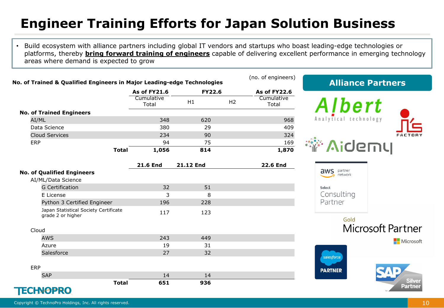# **Engineer Training Efforts for Japan Solution Business**

• Build ecosystem with alliance partners including global IT vendors and startups who boast leading-edge technologies or platforms, thereby **bring forward training of engineers** capable of delivering excellent performance in emerging technology areas where demand is expected to grow

| No. of Trained & Qualified Engineers in Major Leading-edge Technologies |                     |               |                | (no. of engineers)  | <b>Alliance Partners</b>         |
|-------------------------------------------------------------------------|---------------------|---------------|----------------|---------------------|----------------------------------|
|                                                                         | <b>As of FY21.6</b> | <b>FY22.6</b> |                | <b>As of FY22.6</b> |                                  |
|                                                                         | Cumulative<br>Total | H1            | H <sub>2</sub> | Cumulative<br>Total | Albert                           |
| <b>No. of Trained Engineers</b>                                         |                     |               |                |                     |                                  |
| AI/ML                                                                   | 348                 | 620           |                | 968                 | Analytical technology            |
| Data Science                                                            | 380                 | 29            |                | 409                 |                                  |
| <b>Cloud Services</b>                                                   | 234                 | 90            |                | 324                 | FACTORY                          |
| <b>ERP</b>                                                              | 94                  | 75            |                | 169                 | <b>Aidemy</b>                    |
| <b>Total</b>                                                            | 1,056               | 814           |                | 1,870               |                                  |
|                                                                         | <b>21.6 End</b>     | 21.12 End     |                | <b>22.6 End</b>     |                                  |
| <b>No. of Qualified Engineers</b>                                       |                     |               |                |                     | aws<br>partner<br>network        |
| AI/ML/Data Science                                                      |                     |               |                |                     |                                  |
| <b>G</b> Certification                                                  | 32                  | 51            |                |                     | Select                           |
| E License                                                               | 3                   | 8             |                |                     | Consulting                       |
| Python 3 Certified Engineer                                             | 196                 | 228           |                |                     | Partner                          |
| Japan Statistical Society Certificate<br>grade 2 or higher              | 117                 | 123           |                |                     |                                  |
|                                                                         |                     |               |                |                     | Gold<br><b>Microsoft Partner</b> |
| Cloud                                                                   |                     |               |                |                     |                                  |
| <b>AWS</b>                                                              | 243                 | 449           |                |                     | Microsoft                        |
| Azure                                                                   | 19                  | 31            |                |                     |                                  |
| Salesforce                                                              | 27                  | 32            |                |                     | salesforce                       |
|                                                                         |                     |               |                |                     |                                  |
| ERP                                                                     |                     |               |                |                     | <b>PARTNER</b>                   |
| <b>SAP</b>                                                              | 14                  | 14            |                |                     | <b>Silver</b>                    |
| <b>Total</b><br>TECLNABDO                                               | 651                 | 936           |                |                     | <b>Partner</b>                   |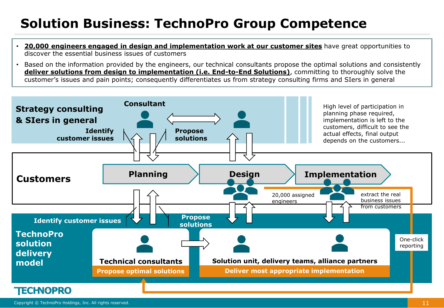# **Solution Business: TechnoPro Group Competence**

- **20,000 engineers engaged in design and implementation work at our customer sites** have great opportunities to discover the essential business issues of customers
- Based on the information provided by the engineers, our technical consultants propose the optimal solutions and consistently **deliver solutions from design to implementation (i.e. End-to-End Solutions)**, committing to thoroughly solve the customer's issues and pain points; consequently differentiates us from strategy consulting firms and SIers in general

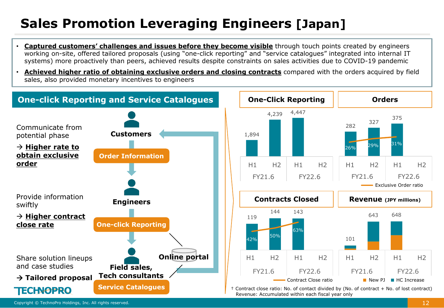# **Sales Promotion Leveraging Engineers [Japan]**

- **Captured customers' challenges and issues before they become visible** through touch points created by engineers working on-site, offered tailored proposals (using "one-click reporting" and "service catalogues" integrated into internal IT systems) more proactively than peers, achieved results despite constraints on sales activities due to COVID-19 pandemic
- **Achieved higher ratio of obtaining exclusive orders and closing contracts** compared with the orders acquired by field sales, also provided monetary incentives to engineers

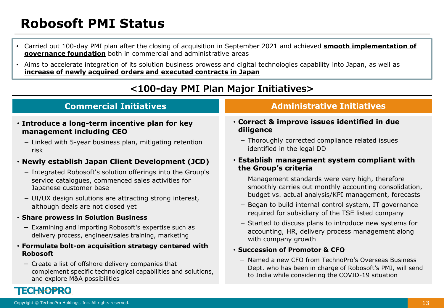# **Robosoft PMI Status**

- Carried out 100-day PMI plan after the closing of acquisition in September 2021 and achieved **smooth implementation of governance foundation** both in commercial and administrative areas
- Aims to accelerate integration of its solution business prowess and digital technologies capability into Japan, as well as **increase of newly acquired orders and executed contracts in Japan**

### **<100-day PMI Plan Major Initiatives>**

### • **Introduce a long-term incentive plan for key management including CEO**

- Linked with 5-year business plan, mitigating retention risk

### • **Newly establish Japan Client Development (JCD)**

- Integrated Robosoft's solution offerings into the Group's service catalogues, commenced sales activities for Japanese customer base
- UI/UX design solutions are attracting strong interest, although deals are not closed yet

#### • **Share prowess in Solution Business**

- Examining and importing Robosoft's expertise such as delivery process, engineer/sales training, marketing

#### • **Formulate bolt-on acquisition strategy centered with Robosoft**

- Create a list of offshore delivery companies that complement specific technological capabilities and solutions, and explore M&A possibilities

### **Commercial Initiatives Administrative Initiatives**

- **Correct & improve issues identified in due diligence**
	- Thoroughly corrected compliance related issues identified in the legal DD

### • **Establish management system compliant with the Group's criteria**

- Management standards were very high, therefore smoothly carries out monthly accounting consolidation, budget vs. actual analysis/KPI management, forecasts
- Began to build internal control system, IT governance required for subsidiary of the TSE listed company
- Started to discuss plans to introduce new systems for accounting, HR, delivery process management along with company growth

#### • **Succession of Promotor & CFO**

- Named a new CFO from TechnoPro's Overseas Business Dept. who has been in charge of Robosoft's PMI, will send to India while considering the COVID-19 situation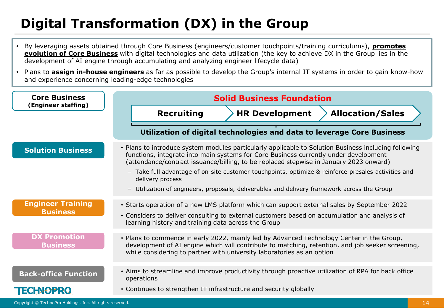# **Digital Transformation (DX) in the Group**

- By leveraging assets obtained through Core Business (engineers/customer touchpoints/training curriculums), **promotes evolution of Core Business** with digital technologies and data utilization (the key to achieve DX in the Group lies in the development of AI engine through accumulating and analyzing engineer lifecycle data)
- Plans to **assign in-house engineers** as far as possible to develop the Group's internal IT systems in order to gain know-how and experience concerning leading-edge technologies

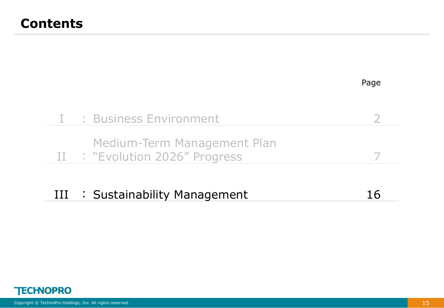|    |                                                               | Page |
|----|---------------------------------------------------------------|------|
|    | : Business Environment                                        |      |
|    | Medium-Term Management Plan<br>II : "Evolution 2026" Progress |      |
| ПT | : Sustainability Management                                   | 16   |

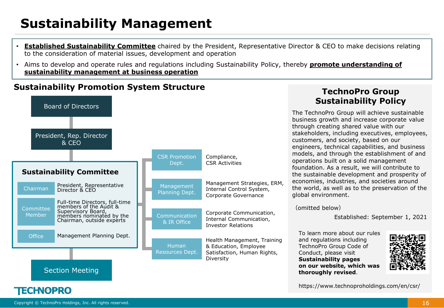# **Sustainability Management**

- **Established Sustainability Committee** chaired by the President, Representative Director & CEO to make decisions relating to the consideration of material issues, development and operation
- Aims to develop and operate rules and regulations including Sustainability Policy, thereby **promote understanding of sustainability management at business operation**

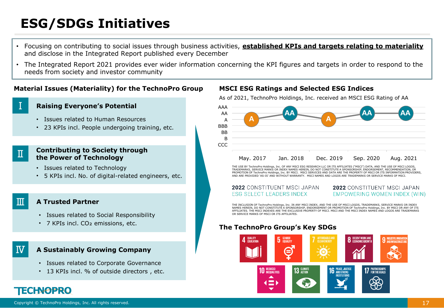# **ESG/SDGs Initiatives**

- Focusing on contributing to social issues through business activities, **established KPIs and targets relating to materiality** and disclose in the Integrated Report published every December
- The Integrated Report 2021 provides ever wider information concerning the KPI figures and targets in order to respond to the needs from society and investor community

#### **Material Issues (Materiality) for the TechnoPro Group MSCI ESG Ratings and Selected ESG Indices**

### Ⅰ

Ⅱ

Ⅲ

Ⅳ

#### **Raising Everyone's Potential**

- Issues related to Human Resources
- 23 KPIs incl. People undergoing training, etc.

#### **Contributing to Society through the Power of Technology**

- Issues related to Technology
- 5 KPIs incl. No. of digital-related engineers, etc.

#### **A Trusted Partner**

- Issues related to Social Responsibility
- 7 KPIs incl. CO<sub>2</sub> emissions, etc.

#### **A Sustainably Growing Company**

- Issues related to Corporate Governance
- 13 KPIs incl. % of outside directors , etc.

As of 2021, TechnoPro Holdings, Inc. received an MSCI ESG Rating of AA



THE USE BY TechnoPro Holdings, Inc. OF ANY MSCI ESG RESEARCH LLC OR ITS AFFILIATES ("MSCI") DATA, AND THE USE OF MSCI LOGOS, TRADEMARKS, SERVICE MARKS OR INDEX NAMES HEREIN, DO NOT CONSTITUTE A SPONSORSHIP, ENDORSEMENT, RECOMMENDATION, OR PROMOTION OF TechnoPro Holdings, Inc. BY MSCI. MSCI SERVICES AND DATA ARE THE PROPERTY OF MSCI OR ITS INFORMATION PROVIDERS, AND ARE PROVIDED 'AS-IS' AND WITHOUT WARRANTY. MSCI NAMES AND LOGOS ARE TRADEMARKS OR SERVICE MARKS OF MSCI.

**2022** CONSTITUENT MSCL JAPAN **ESG SELECT LEADERS INDEX** 

2022 CONSTITUENT MSCLJAPAN EMPOWERING WOMEN INDEX (WIN)

THE INCLUSION OF TechnoPro Holdings, Inc. IN ANY MSCI INDEX, AND THE USE OF MSCI LOGOS, TRADEMARKS, SERVICE MARKS OR INDEX NAMES HEREIN, DO NOT CONSTITUTE A SPONSORSHIP, ENDORSEMENT OR PROMOTION OF TechnoPro Holdings, Inc. BY MSCI OR ANY OF ITS AFFILIATES. THE MSCI INDEXES ARE THE EXCLUSIVE PROPERTY OF MSCI. MSCI AND THE MSCI INDEX NAMES AND LOGOS ARE TRADEMARKS OR SERVICE MARKS OF MSCI OR ITS AFFILIATES.

### **The TechnoPro Group's Key SDGs**

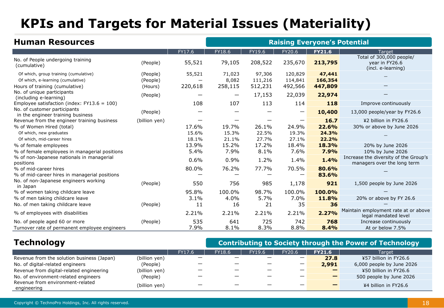# **KPIs and Targets for Material Issues (Materiality)**

| <b>Human Resources</b>                                                     |                      |         | <b>Raising Everyone's Potential</b> |                   |                    |                   |                                                                      |  |  |
|----------------------------------------------------------------------------|----------------------|---------|-------------------------------------|-------------------|--------------------|-------------------|----------------------------------------------------------------------|--|--|
|                                                                            |                      | FY17.6  | FY18.6                              | FY19.6            | FY20.6             | <b>FY21.6</b>     | Target                                                               |  |  |
| No. of People undergoing training<br>(cumulative)                          | (People)             | 55,521  | 79,105                              | 208,522           | 235,670            | 213,795           | Total of 300,000 people/<br>year in FY26.6<br>(incl. e-learning)     |  |  |
| Of which, group training (cumulative)<br>Of which, e-learning (cumulative) | (People)<br>(People) | 55,521  | 71,023<br>8,082                     | 97,306<br>111,216 | 120,829<br>114,841 | 47,441<br>166,354 |                                                                      |  |  |
| Hours of training (cumulative)                                             | (Hours)              | 220,618 | 258,115                             | 512,231           | 492,566            | 447,809           |                                                                      |  |  |
| No. of unique participants<br>(including e-learning)                       | (People)             |         | —                                   | 17,153            | 22,039             | 22,974            |                                                                      |  |  |
| Employee satisfaction (index: $FY13.6 = 100$ )                             |                      | 108     | 107                                 | 113               | 114                | 118               | Improve continuously                                                 |  |  |
| No. of customer participants<br>in the engineer training business          | (People)             |         |                                     |                   |                    | 10,400            | 13,000 people/year by FY26.6                                         |  |  |
| Revenue from the engineer training business                                | (billion yen)        |         |                                     |                   |                    | 16.7              | ¥2 billion in FY26.6                                                 |  |  |
| % of Women Hired (total)                                                   |                      | 17.6%   | 19.7%                               | 26.1%             | 24.9%              | 22.6%             | 30% or above by June 2026                                            |  |  |
| Of which, new graduates                                                    |                      | 15.6%   | 15.3%                               | 22.5%             | 19.3%              | 24.3%             |                                                                      |  |  |
| Of which, mid-career hires                                                 |                      | 18.1%   | 21.1%                               | 27.7%             | 27.1%              | 22.2%             |                                                                      |  |  |
| % of female employees                                                      |                      | 13.9%   | 15.2%                               | 17.2%             | 18.4%              | 18.3%             | 20% by June 2026                                                     |  |  |
| % of female employees in managerial positions                              |                      | 5.4%    | 7.9%                                | 8.1%              | 7.6%               | 7.9%              | 10% by June 2026                                                     |  |  |
| % of non-Japanese nationals in managerial<br>positions                     |                      | 0.6%    | 0.9%                                | 1.2%              | 1.4%               | 1.4%              | Increase the diversity of the Group's<br>managers over the long term |  |  |
| % of mid-career hires<br>% of mid-career hires in managerial positions     |                      | 80.0%   | 76.2%                               | 77.7%             | 70.5%              | 80.6%<br>83.6%    |                                                                      |  |  |
| No. of non-Japanese engineers working<br>in Japan                          | (People)             | 550     | 756                                 | 985               | 1,178              | 921               | 1,500 people by June 2026                                            |  |  |
| % of women taking childcare leave                                          |                      | 95.8%   | 100.0%                              | 98.7%             | 100.0%             | 100.0%            |                                                                      |  |  |
| % of men taking childcare leave                                            |                      | 3.1%    | 4.0%                                | 5.7%              | 7.0%               | 11.8%             | 20% or above by FY 26.6                                              |  |  |
| No. of men taking childcare leave                                          | (People)             | 11      | 16                                  | 21                | 35                 | 36                |                                                                      |  |  |
| % of employees with disabilities                                           |                      | 2.21%   | 2.21%                               | 2.21%             | 2.21%              | 2.27%             | Maintain employment rate at or above<br>legal mandated level         |  |  |
| No. of people aged 60 or more                                              | (People)             | 535     | 641                                 | 725               | 742                | 768               | Increase continuously                                                |  |  |
| Turnover rate of permanent employee engineers                              |                      | 7.9%    | 8.1%                                | 8.3%              | 8.8%               | 8.4%              | At or below 7.5%                                                     |  |  |

### **Technology Contributing to Society through the Power of Technology**

| ___                                             |               |        |        |        |                          |               |                           |  |
|-------------------------------------------------|---------------|--------|--------|--------|--------------------------|---------------|---------------------------|--|
|                                                 |               | FY17.6 | FY18.6 | FY19.6 | FY20.6                   | <b>FY21.6</b> | Target                    |  |
| Revenue from the solution business (Japan)      | (billion yen) |        |        |        |                          | 27.8          | ¥57 billion in FY26.6     |  |
| No. of digital-related engineers                | (People)      |        |        |        | $\overline{\phantom{m}}$ | 2,991         | 6,000 people by June 2026 |  |
| Revenue from digital-related engineering        | (billion yen) | –      |        |        |                          | _             | ¥50 billion in FY26.6     |  |
| No. of environment-related engineers            | (People)      |        | –      |        |                          | -             | 500 people by June 2026   |  |
| Revenue from environment-related<br>engineering | (billion yen) | —      |        |        |                          |               | ¥4 billion in FY26.6      |  |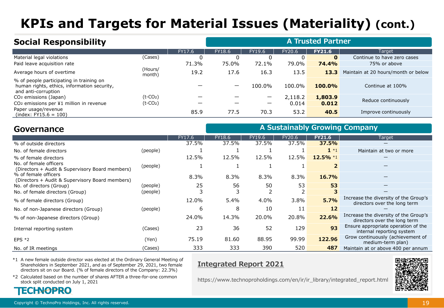# **KPIs and Targets for Material Issues (Materiality) (cont.)**

| <b>Social Responsibility</b>                                                                                   |                         |        |                          |        |         | <b>A Trusted Partner</b> |                                     |
|----------------------------------------------------------------------------------------------------------------|-------------------------|--------|--------------------------|--------|---------|--------------------------|-------------------------------------|
|                                                                                                                |                         | FY17.6 | FY18.6                   | FY19.6 | FY20.6  | <b>FY21.6</b>            | Target                              |
| Material legal violations                                                                                      | (Cases)                 | 0      | 0                        |        | 0       | $\mathbf{0}$             | Continue to have zero cases         |
| Paid leave acquisition rate                                                                                    |                         | 71.3%  | 75.0%                    | 72.1%  | 79.0%   | 74.4%                    | 75% or above                        |
| Average hours of overtime                                                                                      | (Hours/<br>month)       | 19.2   | 17.6                     | 16.3   | 13.5    | 13.3                     | Maintain at 20 hours/month or below |
| % of people participating in training on<br>human rights, ethics, information security,<br>and anti-corruption |                         |        | $\overline{\phantom{m}}$ | 100.0% | 100.0%  | $100.0\%$                | Continue at 100%                    |
| CO <sub>2</sub> emissions (Japan)                                                                              | $(t-CO2)$               |        |                          | —      | 2,118.2 | 1,803.9                  | Reduce continuously                 |
| CO <sub>2</sub> emissions per ¥1 million in revenue                                                            | $(t$ -CO <sub>2</sub> ) |        |                          |        | 0.014   | 0.012                    |                                     |
| Paper usage/revenue<br>$(index: FY15.6 = 100)$                                                                 |                         | 85.9   | 77.5                     | 70.3   | 53.2    | 40.5                     | Improve continuously                |

| Governance                                                                |          |        |        |        |        |               | A Sustainably Growing Company                                         |
|---------------------------------------------------------------------------|----------|--------|--------|--------|--------|---------------|-----------------------------------------------------------------------|
|                                                                           |          | FY17.6 | FY18.6 | FY19.6 | FY20.6 | <b>FY21.6</b> | Target                                                                |
| % of outside directors                                                    |          | 37.5%  | 37.5%  | 37.5%  | 37.5%  | 37.5%         |                                                                       |
| No. of female directors                                                   | (people) |        |        |        |        | $1 * 1$       | Maintain at two or more                                               |
| % of female directors                                                     |          | 12.5%  | 12.5%  | 12.5%  | 12.5%  | $12.5\%$ *1   | —                                                                     |
| No. of female officers<br>(Directors + Audit & Supervisory Board members) | (people) |        |        |        |        | 2             |                                                                       |
| % of female officers<br>(Directors + Audit & Supervisory Board members)   |          | 8.3%   | 8.3%   | 8.3%   | 8.3%   | 16.7%         |                                                                       |
| No. of directors (Group)                                                  | (people) | 25     | 56     | 50     | 53     | 53            |                                                                       |
| No. of female directors (Group)                                           | (people) |        |        |        |        | 3             |                                                                       |
| % of female directors (Group)                                             |          | 12.0%  | 5.4%   | 4.0%   | 3.8%   | 5.7%          | Increase the diversity of the Group's<br>directors over the long term |
| No. of non-Japanese directors (Group)                                     | (people) | 6      | 8      | 10     | 11     | 12            |                                                                       |
| % of non-Japanese directors (Group)                                       |          | 24.0%  | 14.3%  | 20.0%  | 20.8%  | 22.6%         | Increase the diversity of the Group's<br>directors over the long term |
| Internal reporting system                                                 | (Cases)  | 23     | 36     | 52     | 129    | 93            | Ensure appropriate operation of the<br>internal reporting system      |
| $EPS *2$                                                                  | (Yen)    | 75.19  | 81.60  | 88.95  | 99.99  | 122.96        | Grow continuously (achievement of<br>medium-term plan)                |
| No. of IR meetings                                                        | (Cases)  | 333    | 333    | 390    | 520    | 487           | Maintain at or above 400 per annum                                    |

\*1 A new female outside director was elected at the Ordinary General Meeting of Shareholders in September 2021, and as of September 29, 2021, two female directors sit on our Board. (% of female directors of the Company: 22.3%)

### **Integrated Report 2021**

\*2 Calculated based on the number of shares AFTER a three-for-one common stock split conducted on July 1, 2021



https://www.technoproholdings.com/en/ir/ir\_library/integrated\_report.html

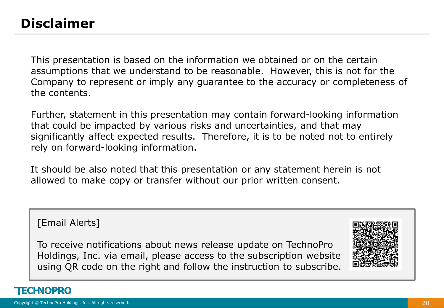### **Disclaimer**

This presentation is based on the information we obtained or on the certain assumptions that we understand to be reasonable. However, this is not for the Company to represent or imply any guarantee to the accuracy or completeness of the contents.

Further, statement in this presentation may contain forward-looking information that could be impacted by various risks and uncertainties, and that may significantly affect expected results. Therefore, it is to be noted not to entirely rely on forward-looking information.

It should be also noted that this presentation or any statement herein is not allowed to make copy or transfer without our prior written consent.

[Email Alerts]

To receive notifications about news release update on TechnoPro Holdings, Inc. via email, please access to the subscription website using QR code on the right and follow the instruction to subscribe.